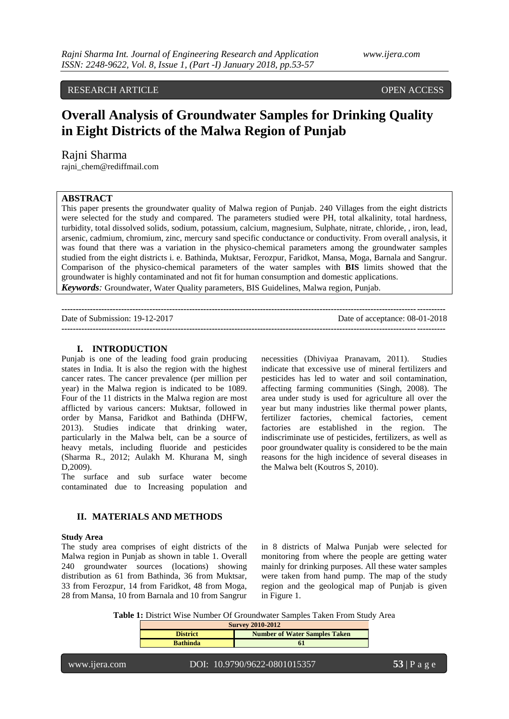# RESEARCH ARTICLE **CONTRACT ARTICLE** AND CONTRACT OPEN ACCESS

# **Overall Analysis of Groundwater Samples for Drinking Quality in Eight Districts of the Malwa Region of Punjab**

## Rajni Sharma

rajni\_chem@rediffmail.com

# **ABSTRACT**

This paper presents the groundwater quality of Malwa region of Punjab. 240 Villages from the eight districts were selected for the study and compared. The parameters studied were PH, total alkalinity, total hardness, turbidity, total dissolved solids, sodium, potassium, calcium, magnesium, Sulphate, nitrate, chloride, , iron, lead, arsenic, cadmium, chromium, zinc, mercury sand specific conductance or conductivity. From overall analysis, it was found that there was a variation in the physico-chemical parameters among the groundwater samples studied from the eight districts i. e. Bathinda, Muktsar, Ferozpur, Faridkot, Mansa, Moga, Barnala and Sangrur. Comparison of the physico-chemical parameters of the water samples with **BIS** limits showed that the groundwater is highly contaminated and not fit for human consumption and domestic applications. *Keywords:* Groundwater, Water Quality parameters, BIS Guidelines, Malwa region, Punjab.

| Date of Submission: 19-12-2017 | Date of acceptance: 08-01-2018 |
|--------------------------------|--------------------------------|
|                                |                                |

### **I. INTRODUCTION**

Punjab is one of the leading food grain producing states in India. It is also the region with the highest cancer rates. The cancer prevalence (per million per year) in the Malwa region is indicated to be 1089. Four of the 11 districts in the Malwa region are most afflicted by various cancers: Muktsar, followed in order by Mansa, Faridkot and Bathinda (DHFW, 2013). Studies indicate that drinking water, particularly in the Malwa belt, can be a source of heavy metals, including fluoride and pesticides (Sharma R., 2012; Aulakh M. Khurana M, singh D,2009).

The surface and sub surface water become contaminated due to Increasing population and

#### **II. MATERIALS AND METHODS**

#### **Study Area**

The study area comprises of eight districts of the Malwa region in Punjab as shown in table 1. Overall 240 groundwater sources (locations) showing distribution as 61 from Bathinda, 36 from Muktsar, 33 from Ferozpur, 14 from Faridkot, 48 from Moga, 28 from Mansa, 10 from Barnala and 10 from Sangrur

necessities (Dhiviyaa Pranavam, 2011). Studies indicate that excessive use of mineral fertilizers and pesticides has led to water and soil contamination, affecting farming communities (Singh, 2008). The area under study is used for agriculture all over the year but many industries like thermal power plants, fertilizer factories, chemical factories, cement factories are established in the region. The indiscriminate use of pesticides, fertilizers, as well as poor groundwater quality is considered to be the main reasons for the high incidence of several diseases in the Malwa belt (Koutros S, 2010).

in 8 districts of Malwa Punjab were selected for monitoring from where the people are getting water mainly for drinking purposes. All these water samples were taken from hand pump. The map of the study region and the geological map of Punjab is given in [Figure](http://www.sciencedirect.com/science/article/pii/S1687850715000035#fig1) 1.

**Table 1:** District Wise Number Of Groundwater Samples Taken From Study Area

| <b>Survey 2010-2012</b>                                 |  |  |  |  |
|---------------------------------------------------------|--|--|--|--|
| <b>Number of Water Samples Taken</b><br><b>District</b> |  |  |  |  |
| <b>Bathinda</b>                                         |  |  |  |  |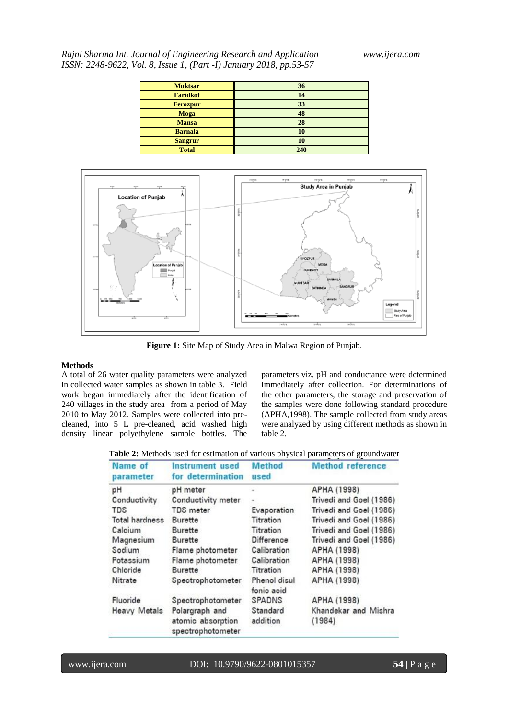| Rajni Sharma Int. Journal of Engineering Research and Application  |  |
|--------------------------------------------------------------------|--|
| ISSN: 2248-9622, Vol. 8, Issue 1, (Part -I) January 2018, pp.53-57 |  |

| <b>Muktsar</b>  | 36  |
|-----------------|-----|
| <b>Faridkot</b> | 14  |
| <b>Ferozpur</b> | 33  |
| <b>Moga</b>     | 48  |
| <b>Mansa</b>    | 28  |
| <b>Barnala</b>  | 10  |
| <b>Sangrur</b>  | 10  |
| <b>Total</b>    | 240 |



**Figure 1:** Site Map of Study Area in Malwa Region of Punjab.

#### **Methods**

A total of 26 water quality parameters were analyzed in collected water samples as shown in table 3. Field work began immediately after the identification of 240 villages in the study area from a period of May 2010 to May 2012. Samples were collected into precleaned, into 5 L pre-cleaned, acid washed high density linear polyethylene sample bottles. The

parameters viz. pH and conductance were determined immediately after collection. For determinations of the other parameters, the storage and preservation of the samples were done following standard procedure (APHA,1998). The sample collected from study areas were analyzed by using different methods as shown in table 2.

**Table 2:** Methods used for estimation of various physical parameters of groundwater

| Name of<br>parameter                                                            | <b>Instrument</b> used<br>for determination | <b>Method</b><br>used | <b>Method</b> reference<br>APHA (1998) |  |  |
|---------------------------------------------------------------------------------|---------------------------------------------|-----------------------|----------------------------------------|--|--|
| pH                                                                              | pH meter                                    |                       |                                        |  |  |
| Conductivity                                                                    | Conductivity meter                          |                       | Trivedi and Goel (1986)                |  |  |
| TDS                                                                             | <b>TDS</b> meter                            | Evaporation           | Trivedi and Goel (1986)                |  |  |
| <b>Total hardness</b>                                                           | Burette                                     | Titration             | Trivedi and Goel (1986)                |  |  |
| Calcium                                                                         | Burette                                     | Titration             | Trivedi and Goel (1986)                |  |  |
| Magnesium                                                                       | Burette                                     | Difference            | Trivedi and Goel (1986)                |  |  |
| Sodium                                                                          | Flame photometer                            | Calibration           | APHA (1998)                            |  |  |
| Potassium                                                                       | Flame photometer                            | Calibration           | APHA (1998)                            |  |  |
| Chloride                                                                        | Burette                                     | Titration             | APHA (1998)                            |  |  |
| Nitrate                                                                         | Spectrophotometer                           |                       | APHA (1998)                            |  |  |
| Fluoride                                                                        | Spectrophotometer                           | SPADNS                | APHA (1998)                            |  |  |
| <b>Heavy Metals</b><br>Polargraph and<br>atomic absorption<br>spectrophotometer |                                             | Standard<br>addition  | Khandekar and Mishra<br>(1984)         |  |  |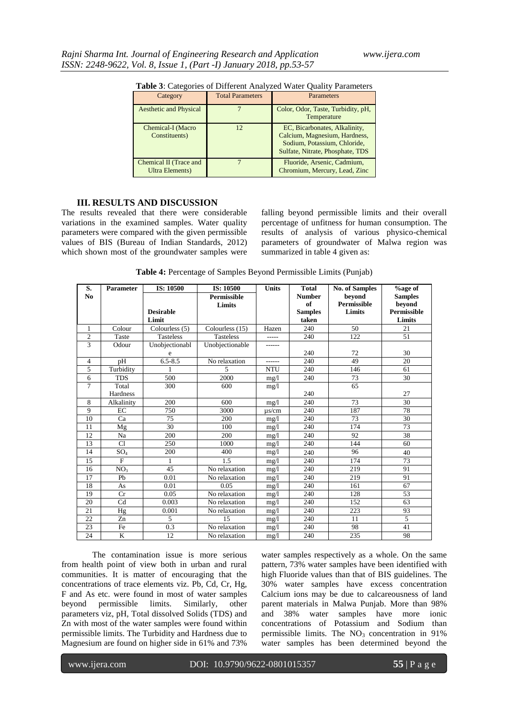| <b>Lable 5.</b> Categories of Different Allaryzed water Quality Farameters |                         |                                                                                                                                    |  |  |
|----------------------------------------------------------------------------|-------------------------|------------------------------------------------------------------------------------------------------------------------------------|--|--|
| Category                                                                   | <b>Total Parameters</b> | Parameters                                                                                                                         |  |  |
| <b>Aesthetic and Physical</b>                                              |                         | Color, Odor, Taste, Turbidity, pH,<br>Temperature                                                                                  |  |  |
| Chemical-I (Macro<br>Constituents)                                         | 12                      | EC, Bicarbonates, Alkalinity,<br>Calcium, Magnesium, Hardness,<br>Sodium, Potassium, Chloride,<br>Sulfate, Nitrate, Phosphate, TDS |  |  |
| Chemical II (Trace and<br>Ultra Elements)                                  |                         | Fluoride, Arsenic, Cadmium,<br>Chromium, Mercury, Lead, Zinc                                                                       |  |  |

**Table 3**: Categories of Different Analyzed Water Quality Parameters

# **III. RESULTS AND DISCUSSION**

The results revealed that there were considerable variations in the examined samples. Water quality parameters were compared with the given permissible values of BIS (Bureau of Indian Standards, 2012) which shown most of the groundwater samples were falling beyond permissible limits and their overall percentage of unfitness for human consumption. The results of analysis of various physico-chemical parameters of groundwater of Malwa region was summarized in table 4 given as:

**Table 4:** Percentage of Samples Beyond Permissible Limits (Punjab)

| S.             | <b>Parameter</b> | IS: 10500        | IS: 10500          | <b>Units</b> | <b>Total</b>   | <b>No. of Samples</b> | <b>%age of</b>     |
|----------------|------------------|------------------|--------------------|--------------|----------------|-----------------------|--------------------|
| N <sub>0</sub> |                  |                  | <b>Permissible</b> |              | <b>Number</b>  | beyond                | <b>Samples</b>     |
|                |                  |                  | Limits             |              | of             | <b>Permissible</b>    | beyond             |
|                |                  | <b>Desirable</b> |                    |              | <b>Samples</b> | Limits                | <b>Permissible</b> |
|                |                  | Limit            |                    |              | taken          |                       | Limits             |
| 1              | Colour           | Colourless (5)   | Colourless (15)    | Hazen        | 240            | 50                    | 21                 |
| $\overline{2}$ | Taste            | <b>Tasteless</b> | <b>Tasteless</b>   | -----        | 240            | 122                   | 51                 |
| 3              | Odour            | Unobjectionabl   | Unobjectionable    | ------       |                |                       |                    |
|                |                  | e                |                    |              | 240            | 72                    | 30                 |
| $\overline{4}$ | pH               | $6.5 - 8.5$      | No relaxation      | ------       | 240            | 49                    | 20                 |
| 5              | Turbidity        | 1                | 5                  | <b>NTU</b>   | 240            | 146                   | 61                 |
| 6              | <b>TDS</b>       | 500              | 2000               | mg/1         | 240            | 73                    | 30                 |
| 7              | Total            | 300              | 600                | mg/1         |                | 65                    |                    |
|                | Hardness         |                  |                    |              | 240            |                       | 27                 |
| 8              | Alkalinity       | 200              | 600                | mg/1         | 240            | 73                    | 30                 |
| 9              | EC               | 750              | 3000               | $\mu$ s/cm   | 240            | 187                   | 78                 |
| 10             | Ca               | 75               | 200                | mg/1         | 240            | 73                    | 30                 |
| 11             | Mg               | 30               | 100                | mg/1         | 240            | 174                   | 73                 |
| 12             | Na               | 200              | 200                | mg/1         | 240            | 92                    | 38                 |
| 13             | C1               | 250              | 1000               | mg/1         | 240            | 144                   | 60                 |
| 14             | SO <sub>4</sub>  | 200              | 400                | mg/1         | 240            | 96                    | 40                 |
| 15             | F                | 1                | 1.5                | mg/1         | 240            | 174                   | 73                 |
| 16             | NO <sub>3</sub>  | 45               | No relaxation      | mg/1         | 240            | 219                   | 91                 |
| 17             | Pb               | 0.01             | No relaxation      | mg/1         | 240            | 219                   | 91                 |
| 18             | As               | 0.01             | 0.05               | mg/1         | 240            | 161                   | 67                 |
| 19             | Cr               | 0.05             | No relaxation      | mg/1         | 240            | 128                   | 53                 |
| 20             | Cd               | 0.003            | No relaxation      | mg/1         | 240            | 152                   | 63                 |
| 21             | Hg               | 0.001            | No relaxation      | mg/1         | 240            | 223                   | 93                 |
| 22             | Zn               | 5                | 15                 | mg/1         | 240            | 11                    | $\overline{5}$     |
| 23             | Fe               | 0.3              | No relaxation      | mg/1         | 240            | 98                    | 41                 |
| 24             | K                | 12               | No relaxation      | mg/1         | 240            | 235                   | 98                 |

The contamination issue is more serious from health point of view both in urban and rural communities. It is matter of encouraging that the concentrations of trace elements viz. Pb, Cd, Cr, Hg, F and As etc. were found in most of water samples beyond permissible limits. Similarly, other parameters viz, pH, Total dissolved Solids (TDS) and Zn with most of the water samples were found within permissible limits. The Turbidity and Hardness due to Magnesium are found on higher side in 61% and 73%

water samples respectively as a whole. On the same pattern, 73% water samples have been identified with high Fluoride values than that of BIS guidelines. The 30% water samples have excess concentration Calcium ions may be due to calcareousness of land parent materials in Malwa Punjab. More than 98% and 38% water samples have more ionic concentrations of Potassium and Sodium than permissible limits. The  $NO<sub>3</sub>$  concentration in 91% water samples has been determined beyond the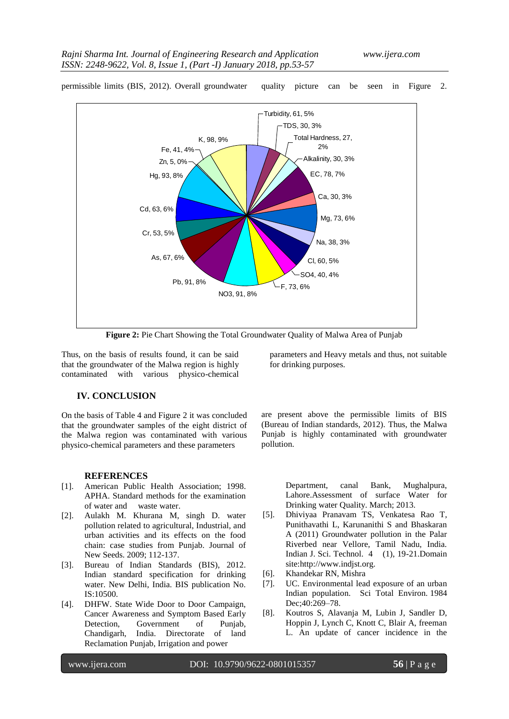

permissible limits (BIS, 2012). Overall groundwater quality picture can be seen in Figure 2.

**Figure 2:** Pie Chart Showing the Total Groundwater Quality of Malwa Area of Punjab

Thus, on the basis of results found, it can be said that the groundwater of the Malwa region is highly contaminated with various physico-chemical

## **IV. CONCLUSION**

On the basis of Table 4 and Figure 2 it was concluded that the groundwater samples of the eight district of the Malwa region was contaminated with various physico-chemical parameters and these parameters

#### **REFERENCES**

- [1]. American Public Health Association; 1998. APHA. Standard methods for the examination of water and waste water.
- [2]. Aulakh M. Khurana M, singh D. water pollution related to agricultural, Industrial, and urban activities and its effects on the food chain: case studies from Punjab. Journal of New Seeds. 2009; 112-137.
- [3]. Bureau of Indian Standards (BIS), 2012. Indian standard specification for drinking water. New Delhi, India. BIS publication No. IS:10500.
- [4]. DHFW. State Wide Door to Door Campaign, Cancer Awareness and Symptom Based Early Detection, Government of Punjab, Chandigarh, India. Directorate of land Reclamation Punjab, Irrigation and power

parameters and Heavy metals and thus, not suitable for drinking purposes.

are present above the permissible limits of BIS (Bureau of Indian standards, 2012). Thus, the Malwa Punjab is highly contaminated with groundwater pollution.

> Department, canal Bank, Mughalpura, Lahore.Assessment of surface Water for Drinking water Quality. March; 2013.

- [5]. Dhiviyaa Pranavam TS, Venkatesa Rao T, Punithavathi L, Karunanithi S and Bhaskaran A (2011) Groundwater pollution in the Palar Riverbed near Vellore, Tamil Nadu, India. Indian J. Sci. Technol. 4 (1), 19-21.Domain site:http://www.indjst.org.
- [6]. Khandekar RN, Mishra
- [7]. UC. Environmental lead exposure of an urban Indian population. Sci Total Environ. 1984 Dec;40:269–78.
- [8]. Koutros S, Alavanja M, Lubin J, Sandler D, Hoppin J, Lynch C, Knott C, Blair A, freeman L. An update of cancer incidence in the